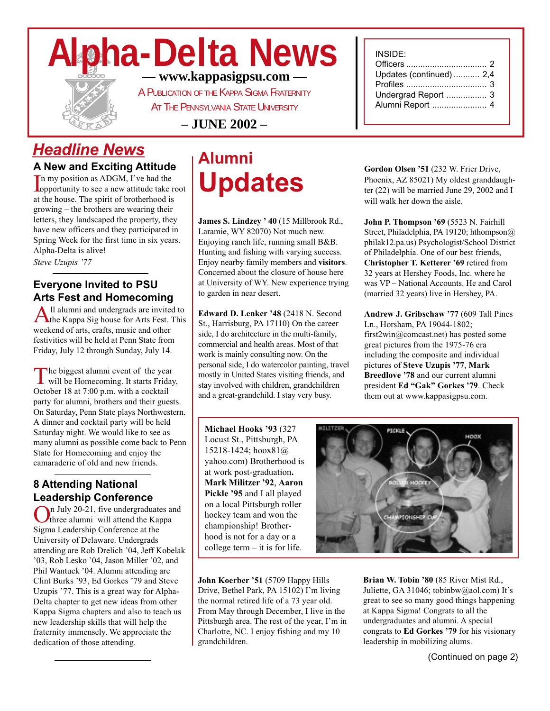# **Alpha-Delta News** — **www.kappasigpsu.com** —



A PUBLICATION OF THE KAPPA SIGMA FRATERNITY

AT THE PENNSYLVANIA STATE UNIVERSITY

– **JUNE 2002** –

### *Headline News*

**A New and Exciting Attitude**

In my position as ADGM, I've had the<br>opportunity to see a new attitude take root n my position as ADGM, I've had the at the house. The spirit of brotherhood is growing – the brothers are wearing their letters, they landscaped the property, they have new officers and they participated in Spring Week for the first time in six years. Alpha-Delta is alive!

*Steve Uzupis '77*

### **Everyone Invited to PSU Arts Fest and Homecoming**

All alumni and undergrads are invited to<br>the Kappa Sig house for Arts Fest. This weekend of arts, crafts, music and other festivities will be held at Penn State from Friday, July 12 through Sunday, July 14.

The biggest alumni event of the year will be Homecoming. It starts Friday, October 18 at 7:00 p.m. with a cocktail party for alumni, brothers and their guests. On Saturday, Penn State plays Northwestern. A dinner and cocktail party will be held Saturday night. We would like to see as many alumni as possible come back to Penn State for Homecoming and enjoy the camaraderie of old and new friends.

### **8 Attending National Leadership Conference**

In July 20-21, five undergraduates and three alumni will attend the Kappa Sigma Leadership Conference at the University of Delaware. Undergrads attending are Rob Drelich '04, Jeff Kobelak '03, Rob Lesko '04, Jason Miller '02, and Phil Wantuck '04. Alumni attending are Clint Burks '93, Ed Gorkes '79 and Steve Uzupis '77. This is a great way for Alpha-Delta chapter to get new ideas from other Kappa Sigma chapters and also to teach us new leadership skills that will help the fraternity immensely. We appreciate the dedication of those attending.

# **Alumni Updates**

**James S. Lindzey ' 40** (15 Millbrook Rd., Laramie, WY 82070) Not much new. Enjoying ranch life, running small B&B. Hunting and fishing with varying success. Enjoy nearby family members and **visitors**. Concerned about the closure of house here at University of WY. New experience trying to garden in near desert.

**Edward D. Lenker '48** (2418 N. Second St., Harrisburg, PA 17110) On the career side, I do architecture in the multi-family, commercial and health areas. Most of that work is mainly consulting now. On the personal side, I do watercolor painting, travel mostly in United States visiting friends, and stay involved with children, grandchildren and a great-grandchild. I stay very busy.

**Michael Hooks '93** (327 Locust St., Pittsburgh, PA 15218-1424; hoox81@ yahoo.com) Brotherhood is at work post-graduation**. Mark Militzer '92**, **Aaron Pickle '95** and I all played on a local Pittsburgh roller hockey team and won the championship! Brotherhood is not for a day or a college term – it is for life.

**John Koerber '51** (5709 Happy Hills Drive, Bethel Park, PA 15102) I'm living the normal retired life of a 73 year old. From May through December, I live in the Pittsburgh area. The rest of the year, I'm in Charlotte, NC. I enjoy fishing and my 10 grandchildren.

#### INSIDE:

| Updates (continued)  2,4 |  |
|--------------------------|--|
|                          |  |
| Undergrad Report  3      |  |
| Alumni Report  4         |  |
|                          |  |

**Gordon Olsen '51** (232 W. Frier Drive, Phoenix, AZ 85021) My oldest granddaughter (22) will be married June 29, 2002 and I will walk her down the aisle.

**John P. Thompson '69** (5523 N. Fairhill Street, Philadelphia, PA 19120; hthompson@ philak12.pa.us) Psychologist/School District of Philadelphia. One of our best friends, **Christopher T. Ketterer '69** retired from 32 years at Hershey Foods, Inc. where he was VP – National Accounts. He and Carol (married 32 years) live in Hershey, PA.

**Andrew J. Gribschaw '77** (609 Tall Pines Ln., Horsham, PA 19044-1802; first2win@comcast.net) has posted some great pictures from the 1975-76 era including the composite and individual pictures of **Steve Uzupis '77**, **Mark Breedlove '78** and our current alumni president **Ed "Gak" Gorkes '79**. Check them out at www.kappasigpsu.com.



**Brian W. Tobin '80** (85 River Mist Rd., Juliette, GA 31046; tobinbw@aol.com) It's great to see so many good things happening at Kappa Sigma! Congrats to all the undergraduates and alumni. A special congrats to **Ed Gorkes '79** for his visionary leadership in mobilizing alums.

(Continued on page 2)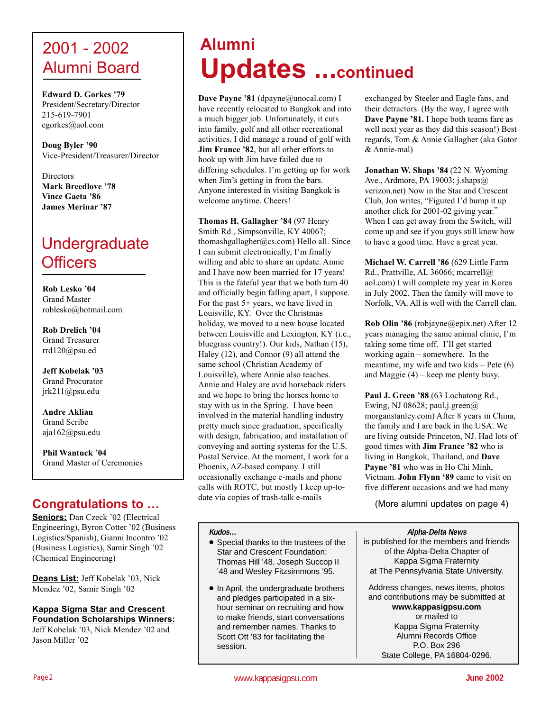### 2001 - 2002 Alumni Board

**Edward D. Gorkes '79** President/Secretary/Director 215-619-7901 egorkes@aol.com

**Doug Byler '90** Vice-President/Treasurer/Director

**Directors Mark Breedlove '78 Vince Gaeta '86 James Merinar '87**

# Undergraduate **Officers**

**Rob Lesko '04** Grand Master roblesko@hotmail.com

**Rob Drelich '04** Grand Treasurer rrd120@psu.ed

**Jeff Kobelak '03** Grand Procurator jrk211@psu.edu

**Andre Aklian** Grand Scribe aja162@psu.edu

**Phil Wantuck '04** Grand Master of Ceremonies

### **Congratulations to …**

**Seniors:** Dan Czeck '02 (Electrical Engineering), Byron Cotter '02 (Business Logistics/Spanish), Gianni Incontro '02 (Business Logistics), Samir Singh '02 (Chemical Engineering)

**Deans List:** Jeff Kobelak '03, Nick Mendez '02, Samir Singh '02

#### **Kappa Sigma Star and Crescent Foundation Scholarships Winners:**

Jeff Kobelak '03, Nick Mendez '02 and Jason Miller '02

# **Alumni Updates ...continued**

Dave Payne '81 (dpayne@unocal.com) I have recently relocated to Bangkok and into a much bigger job. Unfortunately, it cuts into family, golf and all other recreational activities. I did manage a round of golf with **Jim France '82**, but all other efforts to hook up with Jim have failed due to differing schedules. I'm getting up for work when Jim's getting in from the bars. Anyone interested in visiting Bangkok is welcome anytime. Cheers!

**Thomas H. Gallagher '84** (97 Henry Smith Rd., Simpsonville, KY 40067; thomashgallagher@cs.com) Hello all. Since I can submit electronically, I'm finally willing and able to share an update. Annie and I have now been married for 17 years! This is the fateful year that we both turn 40 and officially begin falling apart, I suppose. For the past 5+ years, we have lived in Louisville, KY. Over the Christmas holiday, we moved to a new house located between Louisville and Lexington, KY (i.e., bluegrass country!). Our kids, Nathan (15), Haley (12), and Connor (9) all attend the same school (Christian Academy of Louisville), where Annie also teaches. Annie and Haley are avid horseback riders and we hope to bring the horses home to stay with us in the Spring. I have been involved in the material handling industry pretty much since graduation, specifically with design, fabrication, and installation of conveying and sorting systems for the U.S. Postal Service. At the moment, I work for a Phoenix, AZ-based company. I still occasionally exchange e-mails and phone calls with ROTC, but mostly I keep up-todate via copies of trash-talk e-mails

**Kudos…**

- Special thanks to the trustees of the Star and Crescent Foundation: Thomas Hill '48, Joseph Succop II '48 and Wesley Fitzsimmons '95.
- In April, the undergraduate brothers and pledges participated in a sixhour seminar on recruiting and how to make friends, start conversations and remember names. Thanks to Scott Ott '83 for facilitating the session.

exchanged by Steeler and Eagle fans, and their detractors. (By the way, I agree with **Dave Payne '81.** I hope both teams fare as well next year as they did this season!) Best regards, Tom & Annie Gallagher (aka Gator & Annie-mal)

**Jonathan W. Shaps '84** (22 N. Wyoming Ave., Ardmore, PA 19003; j.shaps@ verizon.net) Now in the Star and Crescent Club, Jon writes, "Figured I'd bump it up another click for 2001-02 giving year." When I can get away from the Switch, will come up and see if you guys still know how to have a good time. Have a great year.

**Michael W. Carrell '86** (629 Little Farm Rd., Prattville, AL 36066; mcarrell@ aol.com) I will complete my year in Korea in July 2002. Then the family will move to Norfolk, VA. All is well with the Carrell clan.

**Rob Olin '86** (robjayne@epix.net) After 12 years managing the same animal clinic, I'm taking some time off. I'll get started working again – somewhere. In the meantime, my wife and two kids – Pete (6) and Maggie (4) – keep me plenty busy.

**Paul J. Green '88** (63 Lochatong Rd., Ewing, NJ 08628; paul.j.green $@$ morganstanley.com) After 8 years in China, the family and I are back in the USA. We are living outside Princeton, NJ. Had lots of good times with **Jim France '82** who is living in Bangkok, Thailand, and **Dave Payne '81** who was in Ho Chi Minh, Vietnam. **John Flynn '89** came to visit on five different occasions and we had many

(More alumni updates on page 4)

**Alpha-Delta News** is published for the members and friends of the Alpha-Delta Chapter of Kappa Sigma Fraternity at The Pennsylvania State University.

Address changes, news items, photos and contributions may be submitted at **www.kappasigpsu.com** or mailed to Kappa Sigma Fraternity Alumni Records Office P.O. Box 296 State College, PA 16804-0296.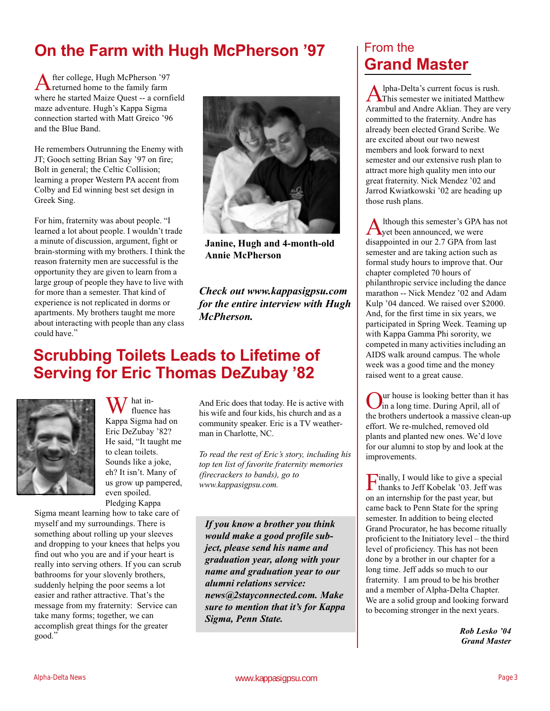## **On the Farm with Hugh McPherson '97**

After college, Hugh McPherson '97 returned home to the family farm where he started Maize Quest -- a cornfield maze adventure. Hugh's Kappa Sigma connection started with Matt Greico '96 and the Blue Band.

He remembers Outrunning the Enemy with JT; Gooch setting Brian Say '97 on fire; Bolt in general; the Celtic Collision; learning a proper Western PA accent from Colby and Ed winning best set design in Greek Sing.

For him, fraternity was about people. "I learned a lot about people. I wouldn't trade a minute of discussion, argument, fight or brain-storming with my brothers. I think the reason fraternity men are successful is the opportunity they are given to learn from a large group of people they have to live with for more than a semester. That kind of experience is not replicated in dorms or apartments. My brothers taught me more about interacting with people than any class could have."



**Janine, Hugh and 4-month-old Annie McPherson**

*Check out www.kappasigpsu.com for the entire interview with Hugh McPherson.*

### **Scrubbing Toilets Leads to Lifetime of Serving for Eric Thomas DeZubay '82**



hat influence has Kappa Sigma had on Eric DeZubay '82? He said, "It taught me to clean toilets. Sounds like a joke, eh? It isn't. Many of us grow up pampered, even spoiled. Pledging Kappa

Sigma meant learning how to take care of myself and my surroundings. There is something about rolling up your sleeves and dropping to your knees that helps you find out who you are and if your heart is really into serving others. If you can scrub bathrooms for your slovenly brothers, suddenly helping the poor seems a lot easier and rather attractive. That's the message from my fraternity: Service can take many forms; together, we can accomplish great things for the greater good."

And Eric does that today. He is active with his wife and four kids, his church and as a community speaker. Eric is a TV weatherman in Charlotte, NC.

*To read the rest of Eric's story, including his top ten list of favorite fraternity memories (firecrackers to bands), go to www.kappasigpsu.com.*

*If you know a brother you think would make a good profile subject, please send his name and graduation year, along with your name and graduation year to our alumni relations service: news@2stayconnected.com. Make sure to mention that it's for Kappa Sigma, Penn State.*

### From the **Grand Master**

Alpha-Delta's current focus is rush. This semester we initiated Matthew Arambul and Andre Aklian. They are very committed to the fraternity. Andre has already been elected Grand Scribe. We are excited about our two newest members and look forward to next semester and our extensive rush plan to attract more high quality men into our great fraternity. Nick Mendez '02 and Jarrod Kwiatkowski '02 are heading up those rush plans.

Although this semester's GPA has not<br>yet been announced, we were disappointed in our 2.7 GPA from last semester and are taking action such as formal study hours to improve that. Our chapter completed 70 hours of philanthropic service including the dance marathon -- Nick Mendez '02 and Adam Kulp '04 danced. We raised over \$2000. And, for the first time in six years, we participated in Spring Week. Teaming up with Kappa Gamma Phi sorority, we competed in many activities including an AIDS walk around campus. The whole week was a good time and the money raised went to a great cause.

aur house is looking better than it has in a long time. During April, all of the brothers undertook a massive clean-up effort. We re-mulched, removed old plants and planted new ones. We'd love for our alumni to stop by and look at the improvements.

Finally, I would like to give a special thanks to Jeff Kobelak '03. Jeff was on an internship for the past year, but came back to Penn State for the spring semester. In addition to being elected Grand Procurator, he has become ritually proficient to the Initiatory level – the third level of proficiency. This has not been done by a brother in our chapter for a long time. Jeff adds so much to our fraternity. I am proud to be his brother and a member of Alpha-Delta Chapter. We are a solid group and looking forward to becoming stronger in the next years.

> *Rob Lesko '04 Grand Master*